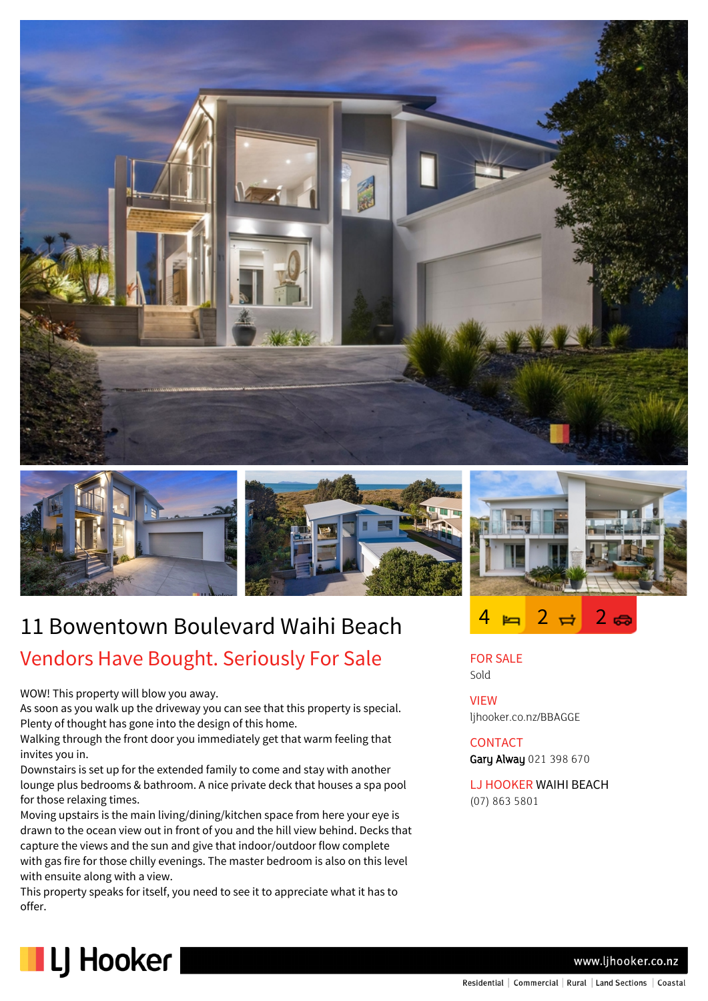



## 11 Bowentown Boulevard Waihi Beach Vendors Have Bought. Seriously For Sale

WOW! This property will blow you away.

As soon as you walk up the driveway you can see that this property is special. Plenty of thought has gone into the design of this home.

Walking through the front door you immediately get that warm feeling that invites you in.

Downstairs is set up for the extended family to come and stay with another lounge plus bedrooms & bathroom. A nice private deck that houses a spa pool for those relaxing times.

Moving upstairs is the main living/dining/kitchen space from here your eye is drawn to the ocean view out in front of you and the hill view behind. Decks that capture the views and the sun and give that indoor/outdoor flow complete with gas fire for those chilly evenings. The master bedroom is also on this level with ensuite along with a view.

This property speaks for itself, you need to see it to appreciate what it has to offer.



FOR SALE Sold

VIEW ljhooker.co.nz/BBAGGE

**CONTACT** Gary Alway 021 398 670

LJ HOOKER WAIHI BEACH (07) 863 5801